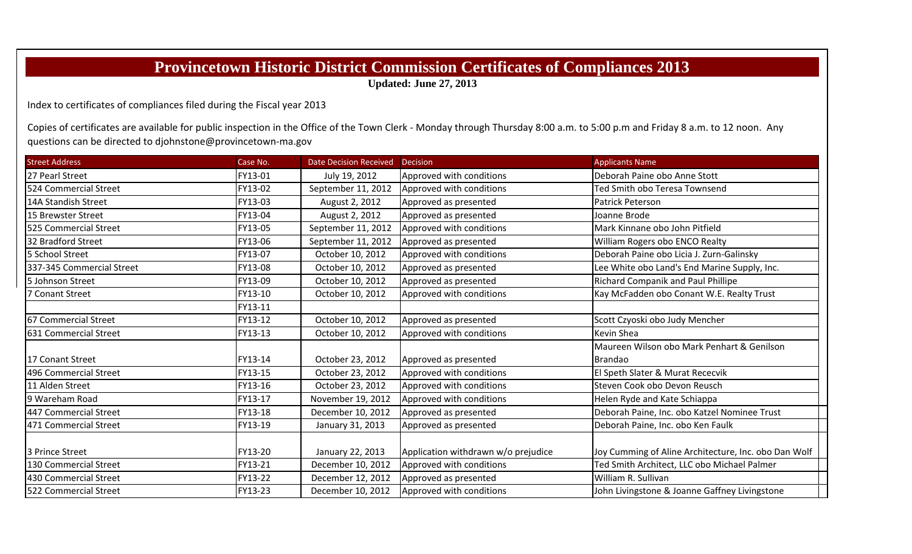## **Provincetown Historic District Commission Certificates of Compliances 2013**

**Updated: June 27, 2013**

Index to certificates of compliances filed during the Fiscal year 2013

Copies of certificates are available for public inspection in the Office of the Town Clerk - Monday through Thursday 8:00 a.m. to 5:00 p.m and Friday 8 a.m. to 12 noon. Any questions can be directed to djohnstone@provincetown‐ma.gov

| <b>Street Address</b>     | Case No. | <b>Date Decision Received</b> | <b>Decision</b>                     | <b>Applicants Name</b>                               |  |
|---------------------------|----------|-------------------------------|-------------------------------------|------------------------------------------------------|--|
| 27 Pearl Street           | FY13-01  | July 19, 2012                 | Approved with conditions            | Deborah Paine obo Anne Stott                         |  |
| 524 Commercial Street     | FY13-02  | September 11, 2012            | Approved with conditions            | Ted Smith obo Teresa Townsend                        |  |
| 14A Standish Street       | FY13-03  | August 2, 2012                | Approved as presented               | Patrick Peterson                                     |  |
| 15 Brewster Street        | FY13-04  | August 2, 2012                | Approved as presented               | Joanne Brode                                         |  |
| 525 Commercial Street     | FY13-05  | September 11, 2012            | Approved with conditions            | Mark Kinnane obo John Pitfield                       |  |
| 32 Bradford Street        | FY13-06  | September 11, 2012            | Approved as presented               | William Rogers obo ENCO Realty                       |  |
| 5 School Street           | FY13-07  | October 10, 2012              | Approved with conditions            | Deborah Paine obo Licia J. Zurn-Galinsky             |  |
| 337-345 Commercial Street | FY13-08  | October 10, 2012              | Approved as presented               | Lee White obo Land's End Marine Supply, Inc.         |  |
| 5 Johnson Street          | FY13-09  | October 10, 2012              | Approved as presented               | Richard Companik and Paul Phillipe                   |  |
| 7 Conant Street           | FY13-10  | October 10, 2012              | Approved with conditions            | Kay McFadden obo Conant W.E. Realty Trust            |  |
|                           | FY13-11  |                               |                                     |                                                      |  |
| 67 Commercial Street      | FY13-12  | October 10, 2012              | Approved as presented               | Scott Czyoski obo Judy Mencher                       |  |
| 631 Commercial Street     | FY13-13  | October 10, 2012              | Approved with conditions            | Kevin Shea                                           |  |
|                           |          |                               |                                     | Maureen Wilson obo Mark Penhart & Genilson           |  |
| 17 Conant Street          | FY13-14  | October 23, 2012              | Approved as presented               | <b>Brandao</b>                                       |  |
| 496 Commercial Street     | FY13-15  | October 23, 2012              | Approved with conditions            | El Speth Slater & Murat Rececvik                     |  |
| 11 Alden Street           | FY13-16  | October 23, 2012              | Approved with conditions            | Steven Cook obo Devon Reusch                         |  |
| 9 Wareham Road            | FY13-17  | November 19, 2012             | Approved with conditions            | Helen Ryde and Kate Schiappa                         |  |
| 447 Commercial Street     | FY13-18  | December 10, 2012             | Approved as presented               | Deborah Paine, Inc. obo Katzel Nominee Trust         |  |
| 471 Commercial Street     | FY13-19  | January 31, 2013              | Approved as presented               | Deborah Paine, Inc. obo Ken Faulk                    |  |
|                           |          |                               |                                     |                                                      |  |
| 3 Prince Street           | FY13-20  | January 22, 2013              | Application withdrawn w/o prejudice | Joy Cumming of Aline Architecture, Inc. obo Dan Wolf |  |
| 130 Commercial Street     | FY13-21  | December 10, 2012             | Approved with conditions            | Ted Smith Architect, LLC obo Michael Palmer          |  |
| 430 Commercial Street     | FY13-22  | December 12, 2012             | Approved as presented               | William R. Sullivan                                  |  |
| 522 Commercial Street     | FY13-23  | December 10, 2012             | Approved with conditions            | John Livingstone & Joanne Gaffney Livingstone        |  |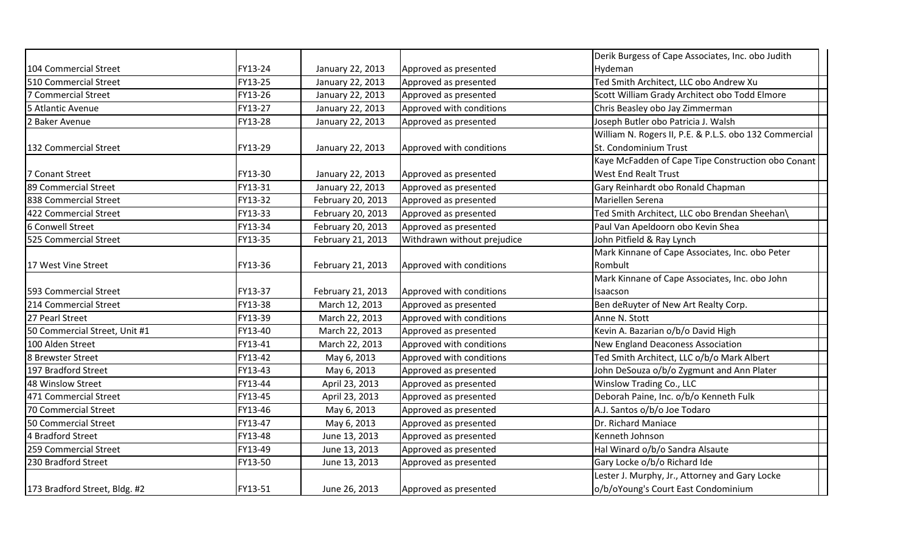|                               |         |                                                                       |                             | Derik Burgess of Cape Associates, Inc. obo Judith      |  |
|-------------------------------|---------|-----------------------------------------------------------------------|-----------------------------|--------------------------------------------------------|--|
| 104 Commercial Street         | FY13-24 | January 22, 2013                                                      | Approved as presented       | Hydeman                                                |  |
| 510 Commercial Street         | FY13-25 | January 22, 2013                                                      | Approved as presented       | Ted Smith Architect, LLC obo Andrew Xu                 |  |
| 7 Commercial Street           | FY13-26 | January 22, 2013                                                      | Approved as presented       | Scott William Grady Architect obo Todd Elmore          |  |
| 5 Atlantic Avenue             | FY13-27 | January 22, 2013                                                      | Approved with conditions    | Chris Beasley obo Jay Zimmerman                        |  |
| 2 Baker Avenue                | FY13-28 | January 22, 2013                                                      | Approved as presented       | Joseph Butler obo Patricia J. Walsh                    |  |
|                               |         |                                                                       |                             | William N. Rogers II, P.E. & P.L.S. obo 132 Commercial |  |
| 132 Commercial Street         | FY13-29 | St. Condominium Trust<br>January 22, 2013<br>Approved with conditions |                             |                                                        |  |
|                               |         |                                                                       |                             | Kaye McFadden of Cape Tipe Construction obo Conant     |  |
| 7 Conant Street               | FY13-30 | January 22, 2013                                                      | Approved as presented       | West End Realt Trust                                   |  |
| 89 Commercial Street          | FY13-31 | January 22, 2013                                                      | Approved as presented       | Gary Reinhardt obo Ronald Chapman                      |  |
| 838 Commercial Street         | FY13-32 | February 20, 2013                                                     | Approved as presented       | Mariellen Serena                                       |  |
| 422 Commercial Street         | FY13-33 | February 20, 2013                                                     | Approved as presented       | Ted Smith Architect, LLC obo Brendan Sheehan\          |  |
| 6 Conwell Street              | FY13-34 | February 20, 2013                                                     | Approved as presented       | Paul Van Apeldoorn obo Kevin Shea                      |  |
| 525 Commercial Street         | FY13-35 | February 21, 2013                                                     | Withdrawn without prejudice | John Pitfield & Ray Lynch                              |  |
|                               |         |                                                                       |                             | Mark Kinnane of Cape Associates, Inc. obo Peter        |  |
| 17 West Vine Street           | FY13-36 | February 21, 2013                                                     | Approved with conditions    | Rombult                                                |  |
|                               |         |                                                                       |                             | Mark Kinnane of Cape Associates, Inc. obo John         |  |
| 593 Commercial Street         | FY13-37 | February 21, 2013                                                     | Approved with conditions    | Isaacson                                               |  |
| 214 Commercial Street         | FY13-38 | March 12, 2013                                                        | Approved as presented       | Ben deRuyter of New Art Realty Corp.                   |  |
| 27 Pearl Street               | FY13-39 | March 22, 2013                                                        | Approved with conditions    | Anne N. Stott                                          |  |
| 50 Commercial Street, Unit #1 | FY13-40 | March 22, 2013                                                        | Approved as presented       | Kevin A. Bazarian o/b/o David High                     |  |
| 100 Alden Street              | FY13-41 | March 22, 2013                                                        | Approved with conditions    | New England Deaconess Association                      |  |
| 8 Brewster Street             | FY13-42 | May 6, 2013                                                           | Approved with conditions    | Ted Smith Architect, LLC o/b/o Mark Albert             |  |
| 197 Bradford Street           | FY13-43 | May 6, 2013                                                           | Approved as presented       | John DeSouza o/b/o Zygmunt and Ann Plater              |  |
| 48 Winslow Street             | FY13-44 | April 23, 2013                                                        | Approved as presented       | Winslow Trading Co., LLC                               |  |
| 471 Commercial Street         | FY13-45 | April 23, 2013                                                        | Approved as presented       | Deborah Paine, Inc. o/b/o Kenneth Fulk                 |  |
| 70 Commercial Street          | FY13-46 | May 6, 2013                                                           | Approved as presented       | A.J. Santos o/b/o Joe Todaro                           |  |
| 50 Commercial Street          | FY13-47 | May 6, 2013                                                           | Approved as presented       | Dr. Richard Maniace                                    |  |
| 4 Bradford Street             | FY13-48 | June 13, 2013                                                         | Approved as presented       | Kenneth Johnson                                        |  |
| 259 Commercial Street         | FY13-49 | June 13, 2013                                                         | Approved as presented       | Hal Winard o/b/o Sandra Alsaute                        |  |
| 230 Bradford Street           | FY13-50 | June 13, 2013                                                         | Approved as presented       | Gary Locke o/b/o Richard Ide                           |  |
|                               |         |                                                                       |                             | Lester J. Murphy, Jr., Attorney and Gary Locke         |  |
| 173 Bradford Street, Bldg. #2 | FY13-51 | June 26, 2013                                                         | Approved as presented       | o/b/oYoung's Court East Condominium                    |  |